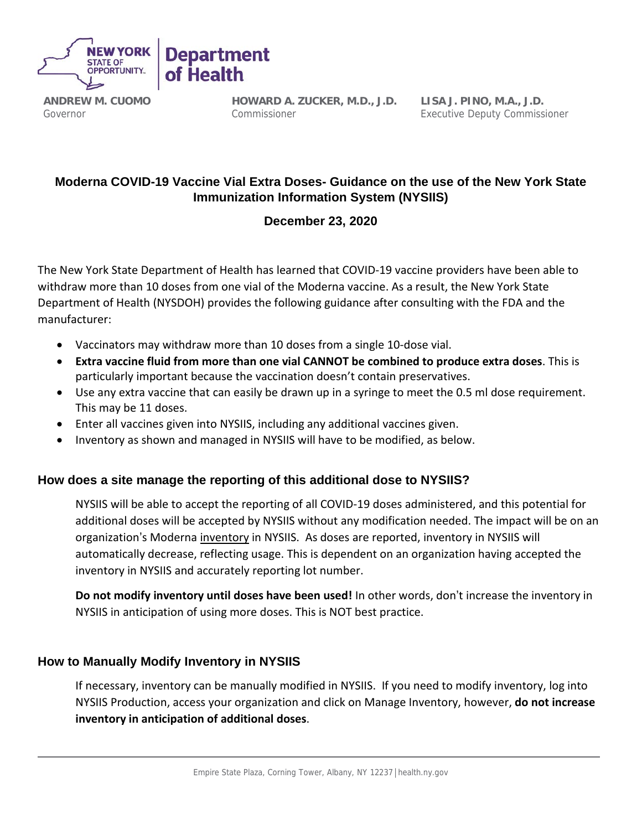

**ANDREW M. CUOMO** Governor

**HOWARD A. ZUCKER, M.D., J.D.** Commissioner

**LISA J. PINO, M.A., J.D.** Executive Deputy Commissioner

## **Moderna COVID-19 Vaccine Vial Extra Doses- Guidance on the use of the New York State Immunization Information System (NYSIIS)**

## **December 23, 2020**

The New York State Department of Health has learned that COVID-19 vaccine providers have been able to withdraw more than 10 doses from one vial of the Moderna vaccine. As a result, the New York State Department of Health (NYSDOH) provides the following guidance after consulting with the FDA and the manufacturer:

• Vaccinators may withdraw more than 10 doses from a single 10-dose vial.

of Health

- **Extra vaccine fluid from more than one vial CANNOT be combined to produce extra doses**. This is particularly important because the vaccination doesn't contain preservatives.
- Use any extra vaccine that can easily be drawn up in a syringe to meet the 0.5 ml dose requirement. This may be 11 doses.
- Enter all vaccines given into NYSIIS, including any additional vaccines given.
- Inventory as shown and managed in NYSIIS will have to be modified, as below.

## **How does a site manage the reporting of this additional dose to NYSIIS?**

NYSIIS will be able to accept the reporting of all COVID-19 doses administered, and this potential for additional doses will be accepted by NYSIIS without any modification needed. The impact will be on an organization's Moderna inventory in NYSIIS. As doses are reported, inventory in NYSIIS will automatically decrease, reflecting usage. This is dependent on an organization having accepted the inventory in NYSIIS and accurately reporting lot number.

**Do not modify inventory until doses have been used!** In other words, don't increase the inventory in NYSIIS in anticipation of using more doses. This is NOT best practice.

## **How to Manually Modify Inventory in NYSIIS**

If necessary, inventory can be manually modified in NYSIIS. If you need to modify inventory, log into NYSIIS Production, access your organization and click on Manage Inventory, however, **do not increase inventory in anticipation of additional doses**.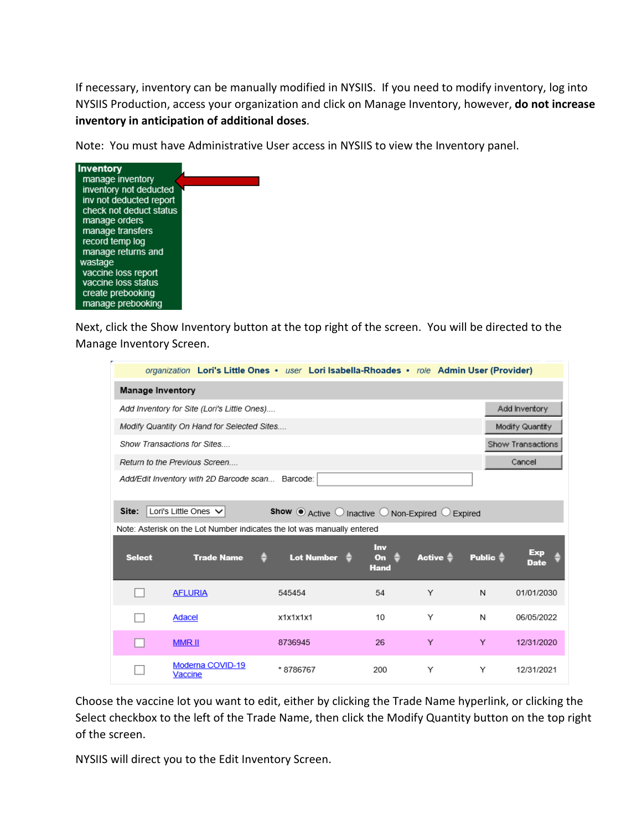If necessary, inventory can be manually modified in NYSIIS. If you need to modify inventory, log into NYSIIS Production, access your organization and click on Manage Inventory, however, **do not increase inventory in anticipation of additional doses**.

Note: You must have Administrative User access in NYSIIS to view the Inventory panel.



Next, click the Show Inventory button at the top right of the screen. You will be directed to the Manage Inventory Screen.

|                                                                                               |                   | organization Lori's Little Ones • user Lori Isabella-Rhoades • role Admin User (Provider) |                                             |                     |                     |             |  |  |  |
|-----------------------------------------------------------------------------------------------|-------------------|-------------------------------------------------------------------------------------------|---------------------------------------------|---------------------|---------------------|-------------|--|--|--|
| <b>Manage Inventory</b>                                                                       |                   |                                                                                           |                                             |                     |                     |             |  |  |  |
| Add Inventory for Site (Lori's Little Ones)                                                   |                   | Add Inventory                                                                             |                                             |                     |                     |             |  |  |  |
| Modify Quantity On Hand for Selected Sites<br>Modify Quantity                                 |                   |                                                                                           |                                             |                     |                     |             |  |  |  |
| Show Transactions for Sites                                                                   |                   | Show Transactions                                                                         |                                             |                     |                     |             |  |  |  |
| Cancel<br>Return to the Previous Screen                                                       |                   |                                                                                           |                                             |                     |                     |             |  |  |  |
| Add/Edit Inventory with 2D Barcode scan Barcode:                                              |                   |                                                                                           |                                             |                     |                     |             |  |  |  |
| Lori's Little Ones $\vee$<br>Site:<br><b>Show ●</b> Active ○ Inactive ○ Non-Expired ○ Expired |                   |                                                                                           |                                             |                     |                     |             |  |  |  |
| Note: Asterisk on the Lot Number indicates the lot was manually entered                       |                   |                                                                                           |                                             |                     |                     |             |  |  |  |
|                                                                                               |                   |                                                                                           |                                             |                     |                     |             |  |  |  |
| <b>Select</b>                                                                                 | <b>Trade Name</b> | Lot Number $\triangleq$                                                                   | <b>Inv</b><br>O <sub>n</sub><br><b>Hand</b> | Active $\triangleq$ | Public $\triangleq$ | Exp<br>Date |  |  |  |
|                                                                                               | <b>AFLURIA</b>    | 545454                                                                                    | 54                                          | Υ                   | N                   | 01/01/2030  |  |  |  |
|                                                                                               | Adacel            | x1x1x1x1                                                                                  | 10                                          | Υ                   | N                   | 06/05/2022  |  |  |  |
|                                                                                               | <b>MMRII</b>      | 8736945                                                                                   | 26                                          | Y                   | Y                   | 12/31/2020  |  |  |  |

Choose the vaccine lot you want to edit, either by clicking the Trade Name hyperlink, or clicking the Select checkbox to the left of the Trade Name, then click the Modify Quantity button on the top right of the screen.

NYSIIS will direct you to the Edit Inventory Screen.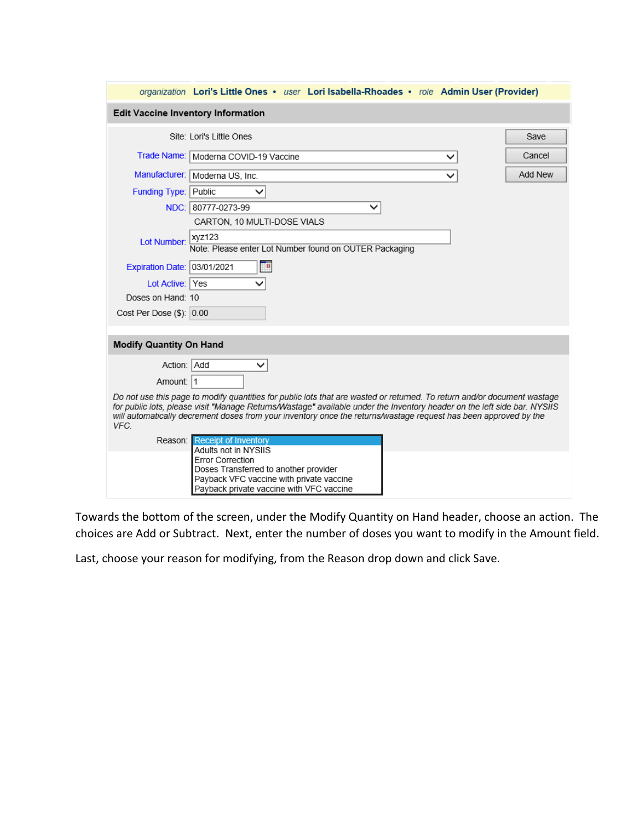|                                                                                                                                                                                                                                                                                                                                                                                  | organization Lori's Little Ones . user Lori Isabella-Rhoades . role Admin User (Provider) |  |  |  |  |  |  |
|----------------------------------------------------------------------------------------------------------------------------------------------------------------------------------------------------------------------------------------------------------------------------------------------------------------------------------------------------------------------------------|-------------------------------------------------------------------------------------------|--|--|--|--|--|--|
| <b>Edit Vaccine Inventory Information</b>                                                                                                                                                                                                                                                                                                                                        |                                                                                           |  |  |  |  |  |  |
|                                                                                                                                                                                                                                                                                                                                                                                  | Site: Lori's Little Ones<br>Save                                                          |  |  |  |  |  |  |
| Trade Name:                                                                                                                                                                                                                                                                                                                                                                      | Cancel<br>Moderna COVID-19 Vaccine                                                        |  |  |  |  |  |  |
|                                                                                                                                                                                                                                                                                                                                                                                  | Manufacturer:   Moderna US, Inc.<br>Add New                                               |  |  |  |  |  |  |
| <b>Funding Type: Public</b>                                                                                                                                                                                                                                                                                                                                                      | $\checkmark$                                                                              |  |  |  |  |  |  |
|                                                                                                                                                                                                                                                                                                                                                                                  | NDC: 80777-0273-99<br>$\checkmark$                                                        |  |  |  |  |  |  |
|                                                                                                                                                                                                                                                                                                                                                                                  | CARTON, 10 MULTI-DOSE VIALS                                                               |  |  |  |  |  |  |
| Lot Number:                                                                                                                                                                                                                                                                                                                                                                      | xyz123<br>Note: Please enter Lot Number found on OUTER Packaging                          |  |  |  |  |  |  |
| Expiration Date: 03/01/2021                                                                                                                                                                                                                                                                                                                                                      | Te.                                                                                       |  |  |  |  |  |  |
| Lot Active: Yes                                                                                                                                                                                                                                                                                                                                                                  |                                                                                           |  |  |  |  |  |  |
| Doses on Hand: 10                                                                                                                                                                                                                                                                                                                                                                |                                                                                           |  |  |  |  |  |  |
| Cost Per Dose (\$): 0.00                                                                                                                                                                                                                                                                                                                                                         |                                                                                           |  |  |  |  |  |  |
| <b>Modify Quantity On Hand</b>                                                                                                                                                                                                                                                                                                                                                   |                                                                                           |  |  |  |  |  |  |
| Action: Add                                                                                                                                                                                                                                                                                                                                                                      | $\checkmark$                                                                              |  |  |  |  |  |  |
| Amount: 1                                                                                                                                                                                                                                                                                                                                                                        |                                                                                           |  |  |  |  |  |  |
| Do not use this page to modify quantities for public lots that are wasted or returned. To return and/or document wastage<br>for public lots, please visit "Manage Returns/Wastage" available under the Inventory header on the left side bar. NYSIIS<br>will automatically decrement doses from your inventory once the returns/wastage request has been approved by the<br>VFC. |                                                                                           |  |  |  |  |  |  |
|                                                                                                                                                                                                                                                                                                                                                                                  | Reason: Receipt of Inventory                                                              |  |  |  |  |  |  |
|                                                                                                                                                                                                                                                                                                                                                                                  | Adults not in NYSIIS<br>Error Correction                                                  |  |  |  |  |  |  |
|                                                                                                                                                                                                                                                                                                                                                                                  | Doses Transferred to another provider                                                     |  |  |  |  |  |  |
|                                                                                                                                                                                                                                                                                                                                                                                  | Payback VFC vaccine with private vaccine                                                  |  |  |  |  |  |  |
|                                                                                                                                                                                                                                                                                                                                                                                  | Payback private vaccine with VFC vaccine                                                  |  |  |  |  |  |  |

Towards the bottom of the screen, under the Modify Quantity on Hand header, choose an action. The choices are Add or Subtract. Next, enter the number of doses you want to modify in the Amount field.

Last, choose your reason for modifying, from the Reason drop down and click Save.